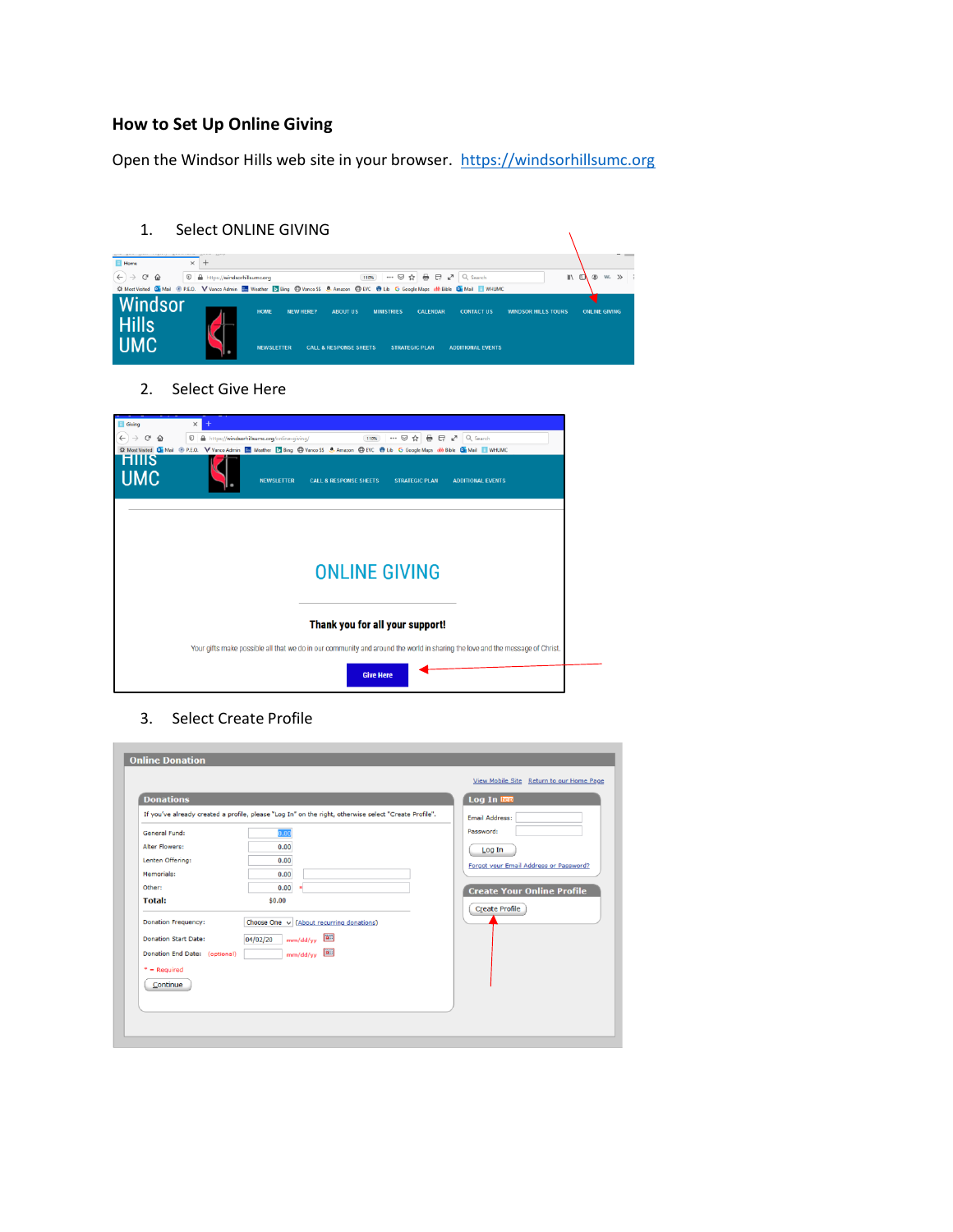# **How to Set Up Online Giving**

Open the Windsor Hills web site in your browser. [https://windsorhillsumc.org](https://windsorhillsumc.org/)

- 1. Select ONLINE GIVING Home  $\overline{\mathbf{x}}$  +  $\overbrace{~~} \leftarrow \begin{array}{ccccc} \overbrace{~~} & \overbrace{~~} & \overbrace{~~} & \overbrace{~~} \overbrace{~~} & \overbrace{~~} \overbrace{~~} & \overbrace{~~} & \overbrace{~~} & \overbrace{~~} & \overbrace{~~} & \overbrace{~~} & \overbrace{~~} & \overbrace{~~} & \overbrace{~~} & \overbrace{~~} & \overbrace{~~} & \overbrace{~~} & \overbrace{~~} & \overbrace{~~} & \overbrace{~~} & \overbrace{~~} & \overbrace{~~} & \overbrace{~~} & \overbrace{~~} & \overbrace{~~} & \overbrace{~~} & \overbrace{~~} & \overbrace{~~} & \over$  $\mathbb{R}$  of  $\mathbb{R}$  w  $\mathbb{R}$  if zon C EVC @ Lib G Google Maps ob Bible **Q** Mail **E** WHUM Windsor **WINDSOR HILLS TOURS** HOME **CALCURAN** ONTACT US ONLINE GIVE **Hills UMC** 
	- 2. Select Give Here

| Giving<br>$\leftarrow$<br>G<br>⇧<br><b>HIIIS</b><br><b>UMC</b> | $\times$<br>https://windsorhillsumc.org/online-giving/<br>e<br>$E \times$<br>Q Search<br>$\boldsymbol{\mathbb{O}}$<br>$\cdots$ $\odot$<br>☆<br>٠<br>110%<br>☆ Most Visited Dir Mail <sup>@</sup> P.E.O. V Vanco Admin <b>End</b> Weather Di Bing @ Vanco SS & Amazon @ EVC @ Lib G Google Maps on b Bible Dir Mail Di WHUMC<br><b>NEWSLETTER</b><br><b>CALL &amp; RESPONSE SHEETS</b><br><b>ADDITIONAL EVENTS</b><br><b>STRATEGIC PLAN</b> |
|----------------------------------------------------------------|--------------------------------------------------------------------------------------------------------------------------------------------------------------------------------------------------------------------------------------------------------------------------------------------------------------------------------------------------------------------------------------------------------------------------------------------|
|                                                                | <b>ONLINE GIVING</b>                                                                                                                                                                                                                                                                                                                                                                                                                       |
|                                                                | Thank you for all your support!<br>Your gifts make possible all that we do in our community and around the world in sharing the love and the message of Christ.<br><b>Give Here</b>                                                                                                                                                                                                                                                        |

3. Select Create Profile

|                               |                                                                                                       | View Mobile Site Return to our Home Page |
|-------------------------------|-------------------------------------------------------------------------------------------------------|------------------------------------------|
| <b>Donations</b>              |                                                                                                       | Log In help                              |
|                               | If you've already created a profile, please "Log In" on the right, otherwise select "Create Profile". | <b>Email Address:</b>                    |
| General Fund:                 | 0.00                                                                                                  | Password:                                |
| <b>Alter Flowers:</b>         | 0.00                                                                                                  | Log In                                   |
| Lenten Offering:              | 0.00                                                                                                  | Forgot your Email Address or Password?   |
| Memorials:                    | 0.00                                                                                                  |                                          |
| Other:                        | 0.00<br>$\bullet$                                                                                     | <b>Create Your Online Profile</b>        |
| <b>Total:</b>                 | \$0.00                                                                                                |                                          |
| <b>Donation Frequency:</b>    | Choose One v (About recurring donations)                                                              | <b>Create Profile</b>                    |
| <b>Donation Start Date:</b>   | E<br>04/02/20<br>mm/dd/yy                                                                             |                                          |
| Donation End Date: (optional) | mm/dd/yy                                                                                              |                                          |
| $*$ = Required                |                                                                                                       |                                          |
|                               |                                                                                                       |                                          |
| Continue                      |                                                                                                       |                                          |
|                               |                                                                                                       |                                          |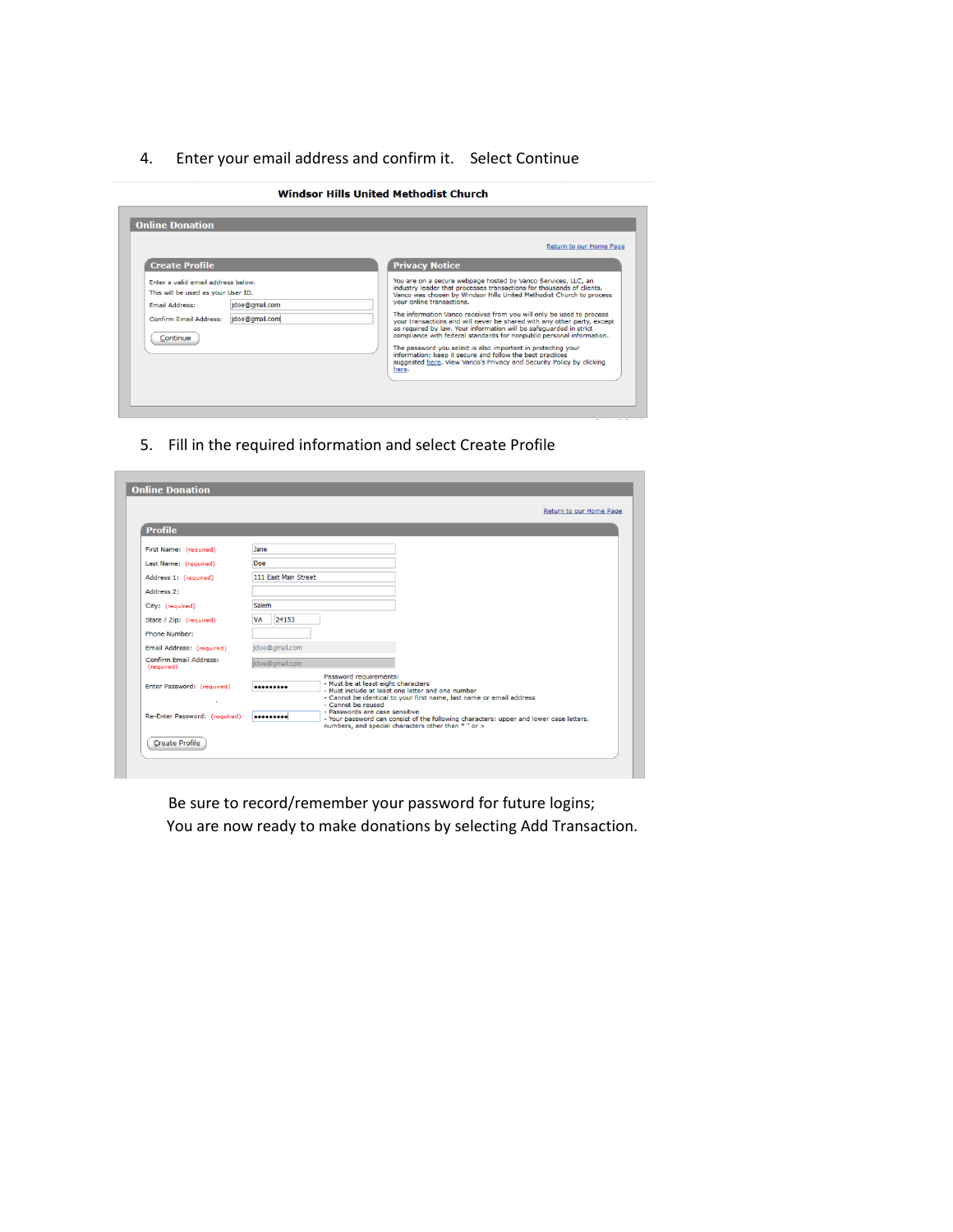## 4. Enter your email address and confirm it. Select Continue

| <b>Online Donation</b>                                                                                                                         |                                  | Return to our Home Page                                                                                                                                                                                                                                                                                                                                                                                                                                                                                                                                                                                                                                                                                                                                     |
|------------------------------------------------------------------------------------------------------------------------------------------------|----------------------------------|-------------------------------------------------------------------------------------------------------------------------------------------------------------------------------------------------------------------------------------------------------------------------------------------------------------------------------------------------------------------------------------------------------------------------------------------------------------------------------------------------------------------------------------------------------------------------------------------------------------------------------------------------------------------------------------------------------------------------------------------------------------|
| <b>Create Profile</b>                                                                                                                          |                                  | <b>Privacy Notice</b>                                                                                                                                                                                                                                                                                                                                                                                                                                                                                                                                                                                                                                                                                                                                       |
| Enter a valid email address below.<br>This will be used as your User ID.<br><b>Email Address:</b><br><b>Confirm Email Address:</b><br>Continue | idoe@gmail.com<br>idoe@gmail.com | You are on a secure webpage hosted by Vanco Services, LLC, an<br>industry leader that processes transactions for thousands of clients.<br>Vanco was chosen by Windsor Hills United Methodist Church to process<br>vour online transactions.<br>The information Vanco receives from you will only be used to process<br>your transactions and will never be shared with any other party, except<br>as required by law. Your information will be safeguarded in strict<br>compliance with federal standards for nonpublic personal information.<br>The password you select is also important in protecting your<br>information: keep it secure and follow the best practices<br>suggested here. View Vanco's Privacy and Security Policy by clicking<br>here. |

5. Fill in the required information and select Create Profile

| <b>Profile</b>                              |                                                                                                                                                                                                                      |
|---------------------------------------------|----------------------------------------------------------------------------------------------------------------------------------------------------------------------------------------------------------------------|
| First Name: (required)                      | Jane                                                                                                                                                                                                                 |
| Last Name: (required)                       | Doe                                                                                                                                                                                                                  |
| Address 1: (required)                       | 111 Fast Main Street                                                                                                                                                                                                 |
| Address 2:                                  |                                                                                                                                                                                                                      |
| City: (required)                            | Salem                                                                                                                                                                                                                |
| State / Zip: (required)                     | VA<br>24153                                                                                                                                                                                                          |
| Phone Number:                               |                                                                                                                                                                                                                      |
| Email Address: (required)                   | idoe@gmail.com                                                                                                                                                                                                       |
| <b>Confirm Email Address:</b><br>(required) | jdoe@gmail.com                                                                                                                                                                                                       |
| Enter Password: (required)                  | Password requirements:<br>- Must be at least eight characters<br><br>- Must include at least one letter and one number<br>- Cannot be identical to your first name, last name or email address<br>- Cannot be reused |
| Re-Enter Password: (required)               | - Passwords are case sensitive<br><br>- Your password can consist of the following characters: upper and lower case letters,<br>numbers, and special characters other than * " or >                                  |

Be sure to record/remember your password for future logins; You are now ready to make donations by selecting Add Transaction.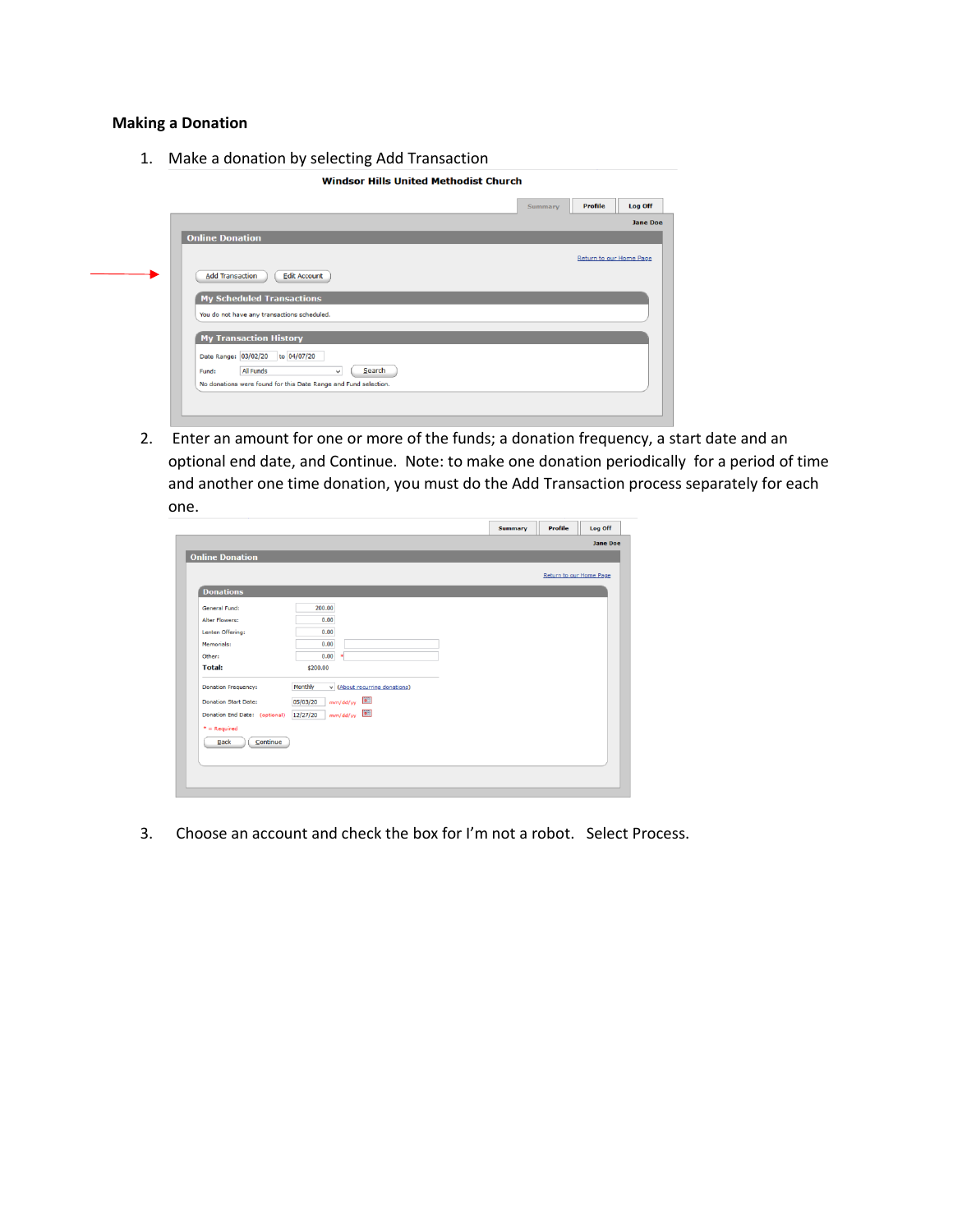#### **Making a Donation**

1. Make a donation by selecting Add Transaction

**Windsor Hills United Methodist Church** 



2. Enter an amount for one or more of the funds; a donation frequency, a start date and an optional end date, and Continue. Note: to make one donation periodically for a period of time and another one time donation, you must do the Add Transaction process separately for each one.

|                               |                                          |  | Return to our Home Page |  |
|-------------------------------|------------------------------------------|--|-------------------------|--|
| <b>Donations</b>              |                                          |  |                         |  |
| General Fund:                 | 200.00                                   |  |                         |  |
| <b>Alter Flowers:</b>         | 0.00                                     |  |                         |  |
| Lenten Offering:              | 0.00                                     |  |                         |  |
| Memorials:                    | 0.00                                     |  |                         |  |
| Other:                        | 0.00<br>$\star$                          |  |                         |  |
| <b>Total:</b>                 | \$200.00                                 |  |                         |  |
| <b>Donation Frequency:</b>    | v (About recurring donations)<br>Monthly |  |                         |  |
| <b>Donation Start Date:</b>   | <b>Fill</b><br>mm/dd/yy<br>05/03/20      |  |                         |  |
| Donation End Date: (optional) | mm/dd/yy<br>12/27/20                     |  |                         |  |
| $" = Required$                |                                          |  |                         |  |
| Continue<br>Back              |                                          |  |                         |  |

3. Choose an account and check the box for I'm not a robot. Select Process.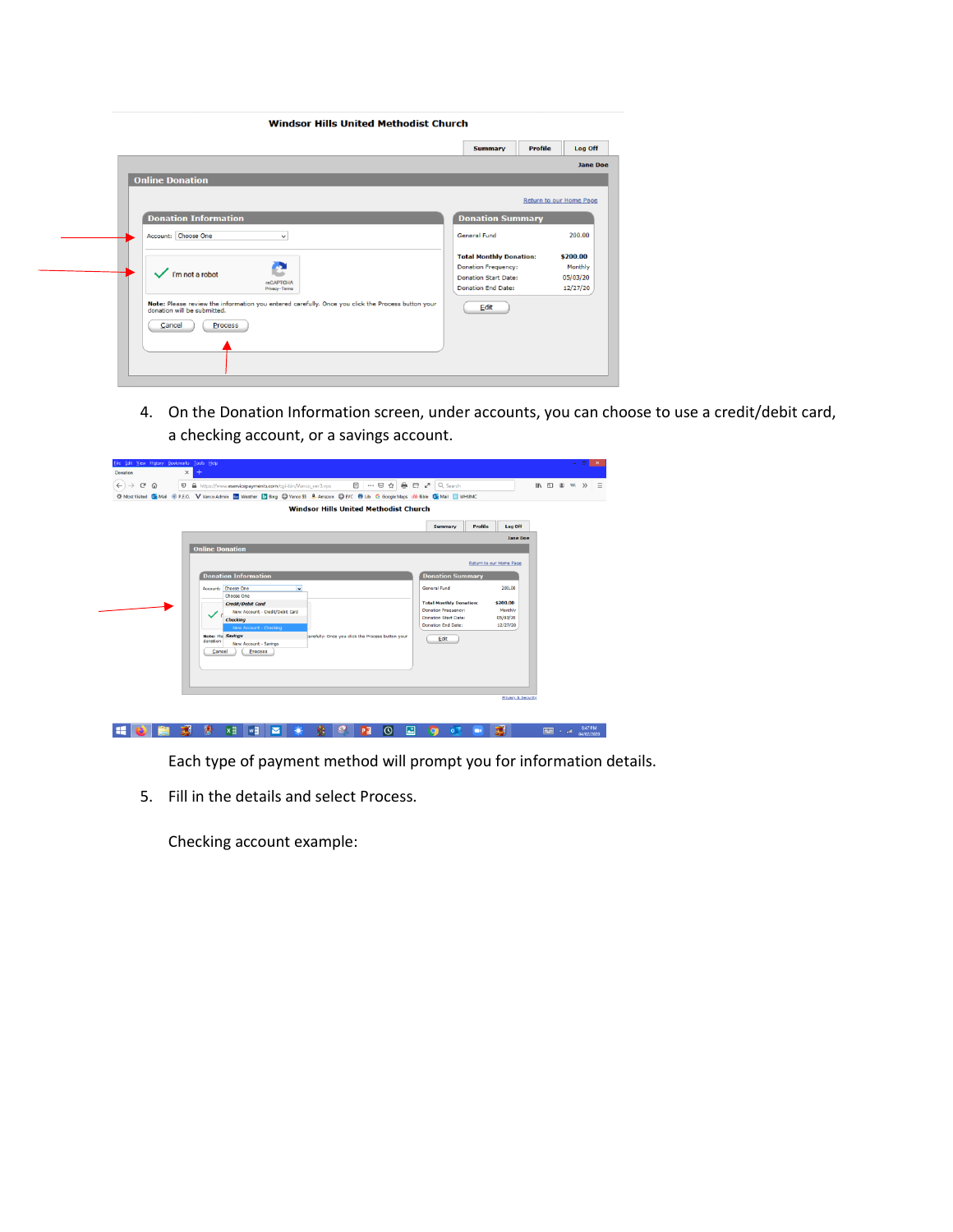**Windsor Hills United Methodist Church** 

|                             |                                                                                                   |                                                           | <b>Jane Doe</b>         |
|-----------------------------|---------------------------------------------------------------------------------------------------|-----------------------------------------------------------|-------------------------|
| <b>Online Donation</b>      |                                                                                                   |                                                           |                         |
|                             |                                                                                                   |                                                           | Return to our Home Page |
| <b>Donation Information</b> |                                                                                                   | <b>Donation Summary</b>                                   |                         |
| Account: Choose One         | $\checkmark$                                                                                      | General Fund                                              | 200.00                  |
|                             |                                                                                                   | <b>Total Monthly Donation:</b>                            | \$200.00                |
| I'm not a robot             |                                                                                                   | <b>Donation Frequency:</b><br><b>Donation Start Date:</b> | Monthly                 |
|                             | <b>reCAPTCHA</b><br>Privacy - Terms                                                               | <b>Donation End Date:</b>                                 | 05/03/20<br>12/27/20    |
| donation will be submitted. | Note: Please review the information you entered carefully. Once you click the Process button your | Edit                                                      |                         |
| Cancel<br>Process           |                                                                                                   |                                                           |                         |
|                             |                                                                                                   |                                                           |                         |
|                             |                                                                                                   |                                                           |                         |

4. On the Donation Information screen, under accounts, you can choose to use a credit/debit card, a checking account, or a savings account.

| File Edit View History Bookmarks Tools Help<br>Donation | $\times$<br>$\ddot{}$                                                                                                                                                                                                                                                                                                 | $     -$                                                                                                                                                                                                                      |
|---------------------------------------------------------|-----------------------------------------------------------------------------------------------------------------------------------------------------------------------------------------------------------------------------------------------------------------------------------------------------------------------|-------------------------------------------------------------------------------------------------------------------------------------------------------------------------------------------------------------------------------|
| $\leftarrow$<br>G<br>$\rightarrow$<br>企                 | <b>①</b> A https://www.eservicepayments.com/cgi-bin/Vanco_ver3.vps<br>C Most Visited Ca Mail @ P.E.O. V Vanco Admin <b>Ca Weather   Bing @ Vanco SS</b> & Amazon @ EVC @ Lib G Google Maps ob Bible Ca Mail <b>For Mail 19</b> WHUMC                                                                                  | III $\Box$ $\otimes$ w. $\gg$ $\equiv$                                                                                                                                                                                        |
|                                                         | <b>Windsor Hills United Methodist Church</b>                                                                                                                                                                                                                                                                          |                                                                                                                                                                                                                               |
|                                                         |                                                                                                                                                                                                                                                                                                                       | Profile<br>Log Off<br>Summary                                                                                                                                                                                                 |
|                                                         |                                                                                                                                                                                                                                                                                                                       | <b>Jane Doe</b>                                                                                                                                                                                                               |
|                                                         | <b>Online Donation</b>                                                                                                                                                                                                                                                                                                | Return to our Home Page                                                                                                                                                                                                       |
|                                                         | <b>Donation Information</b><br>V<br>Account: Choose One<br>Choose One<br>Credit/Debit Card<br>New Account - Credit/Debit Card<br>Checking<br><b>New Account - Checking</b><br><b>Note: Pla Savinas</b><br>carefully. Once you click the Process button your<br>donation<br>New Account - Savings<br>Process<br>Cancel | <b>Donation Summary</b><br>200.00<br>General Fund<br><b>Total Monthly Donation:</b><br>\$200.00<br>Monthly<br><b>Donation Frequency:</b><br><b>Donation Start Date:</b><br>05/03/20<br>Donation End Date:<br>12/27/20<br>Edit |
|                                                         |                                                                                                                                                                                                                                                                                                                       | <b>Privacy &amp; Security</b>                                                                                                                                                                                                 |

Each type of payment method will prompt you for information details.

5. Fill in the details and select Process.

Checking account example: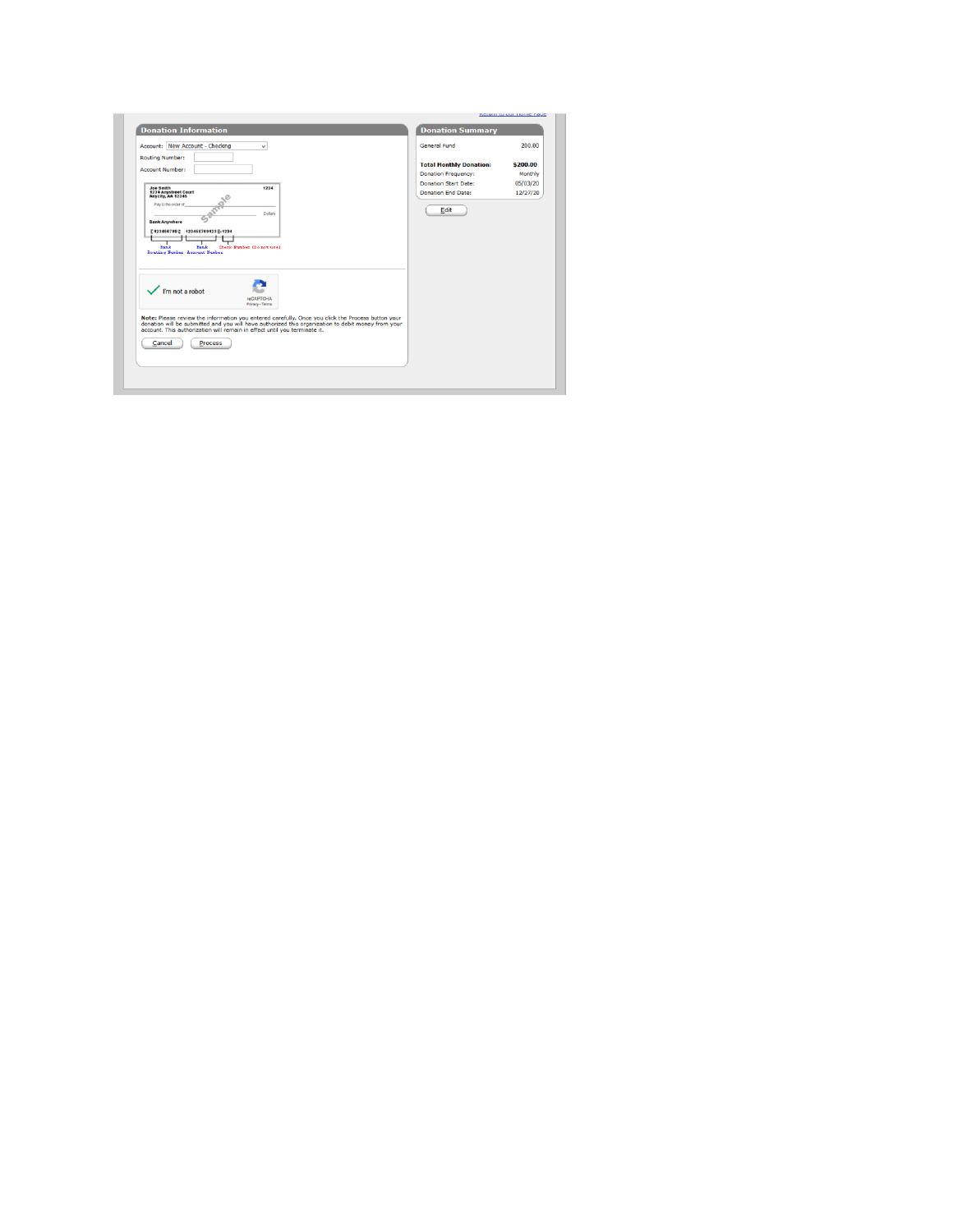|                                                                                                                                                                                                                                                                                                               |                                                                                                                                                  | <b>NEWITH W UWI TIUTTIE FOUE</b>                      |
|---------------------------------------------------------------------------------------------------------------------------------------------------------------------------------------------------------------------------------------------------------------------------------------------------------------|--------------------------------------------------------------------------------------------------------------------------------------------------|-------------------------------------------------------|
| <b>Donation Information</b>                                                                                                                                                                                                                                                                                   | <b>Donation Summary</b>                                                                                                                          |                                                       |
| Account: New Account - Checking<br>$\checkmark$<br><b>Routing Number:</b><br><b>Account Number:</b><br>1234<br>Joe Smith<br>1234 Anystreet Court<br>Anycity, AA 12345<br>Pay to the order of<br>Dollars<br><b>Bank Anywhere</b>                                                                               | General Fund<br><b>Total Monthly Donation:</b><br><b>Donation Frequency:</b><br><b>Donation Start Date:</b><br><b>Donation End Date:</b><br>Edit | 200.00<br>\$200.00<br>Monthly<br>05/03/20<br>12/27/20 |
| ['123456789]; 123456789123   -1234<br>Check Number (Do not use)<br>Bank<br>Bank<br>Routing Number Account Number<br>$\sqrt{\frac{1}{2}}$ i'm not a robot<br><b>reCAPTCHA</b><br>Privacy - Terms                                                                                                               |                                                                                                                                                  |                                                       |
| Note: Please review the information you entered carefully. Once you click the Process button your<br>donation will be submitted and you will have authorized this organization to debit money from your account. This authorization will remain in effect until you terminate it.<br><b>Process</b><br>Cancel |                                                                                                                                                  |                                                       |